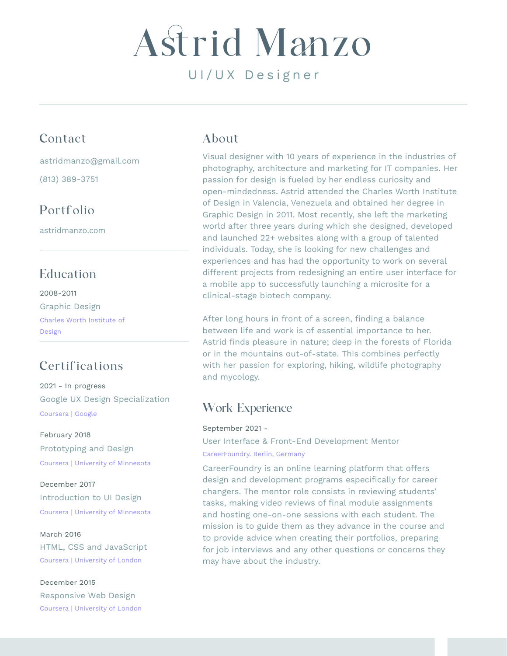# UI/UX Designer Astrid Manzo

## Contact

astridmanzo@gmail.com

(813) 389-3751

# Portfolio

astridmanzo.com

# Education

2008-2011 Graphic Design Charles Worth Institute of Design

# Certifications

2021 - In progress Google UX Design Specialization Coursera | Google

#### February 2018 Prototyping and Design Coursera | University of Minnesota

December 2017 Introduction to UI Design Coursera | University of Minnesota

#### March 2016

HTML, CSS and JavaScript Coursera | University of London

#### December 2015

Responsive Web Design Coursera | University of London

## About

Visual designer with 10 years of experience in the industries of photography, architecture and marketing for IT companies. Her passion for design is fueled by her endless curiosity and open-mindedness. Astrid attended the Charles Worth Institute of Design in Valencia, Venezuela and obtained her degree in Graphic Design in 2011. Most recently, she left the marketing world after three years during which she designed, developed and launched 22+ websites along with a group of talented individuals. Today, she is looking for new challenges and experiences and has had the opportunity to work on several different projects from redesigning an entire user interface for a mobile app to successfully launching a microsite for a clinical-stage biotech company.

After long hours in front of a screen, finding a balance between life and work is of essential importance to her. Astrid finds pleasure in nature; deep in the forests of Florida or in the mountains out-of-state. This combines perfectly with her passion for exploring, hiking, wildlife photography and mycology.

# Work Experience

September 2021 - User Interface & Front-End Development Mentor

CareerFoundry. Berlin, Germany

CareerFoundry is an online learning platform that offers design and development programs especifically for career changers. The mentor role consists in reviewing students' tasks, making video reviews of final module assignments and hosting one-on-one sessions with each student. The mission is to guide them as they advance in the course and to provide advice when creating their portfolios, preparing for job interviews and any other questions or concerns they may have about the industry.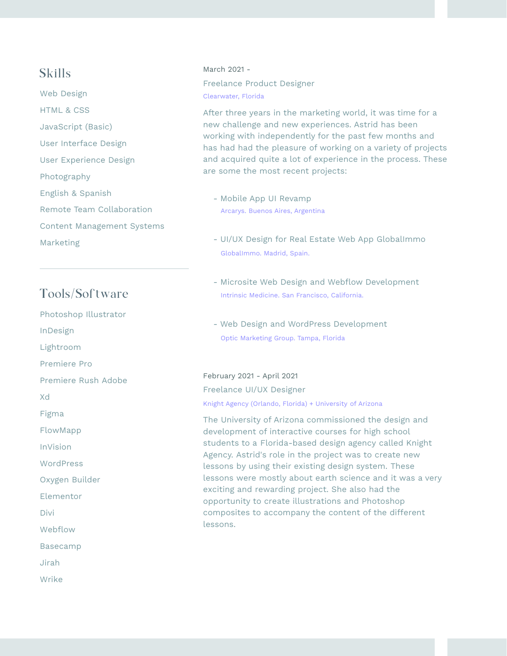### Skills

Web Design HTML & CSS JavaScript (Basic) User Interface Design User Experience Design Photography English & Spanish Remote Team Collaboration Content Management Systems Marketing

## Tools/Software

Photoshop Illustrator

InDesign

Lightroom

Premiere Pro

Premiere Rush Adobe

Xd

Figma

FlowMapp

InVision

**WordPress** 

Oxygen Builder

Elementor

Divi

Webflow

Basecamp

Jirah

Wrike

#### March 2021 - Clearwater, Florida Freelance Product Designer

After three years in the marketing world, it was time for a new challenge and new experiences. Astrid has been working with independently for the past few months and has had had the pleasure of working on a variety of projects and acquired quite a lot of experience in the process. These are some the most recent projects:

- Mobile App UI Revamp Arcarys. Buenos Aires, Argentina
- UI/UX Design for Real Estate Web App GlobalImmo GlobalImmo. Madrid, Spain.
- Microsite Web Design and Webflow Development Intrinsic Medicine. San Francisco, California.
- Web Design and WordPress Development Optic Marketing Group. Tampa, Florida

#### February 2021 - April 2021

Knight Agency (Orlando, Florida) + University of Arizona Freelance UI/UX Designer

The University of Arizona commissioned the design and development of interactive courses for high school students to a Florida-based design agency called Knight Agency. Astrid's role in the project was to create new lessons by using their existing design system. These lessons were mostly about earth science and it was a very exciting and rewarding project. She also had the opportunity to create illustrations and Photoshop composites to accompany the content of the different lessons.